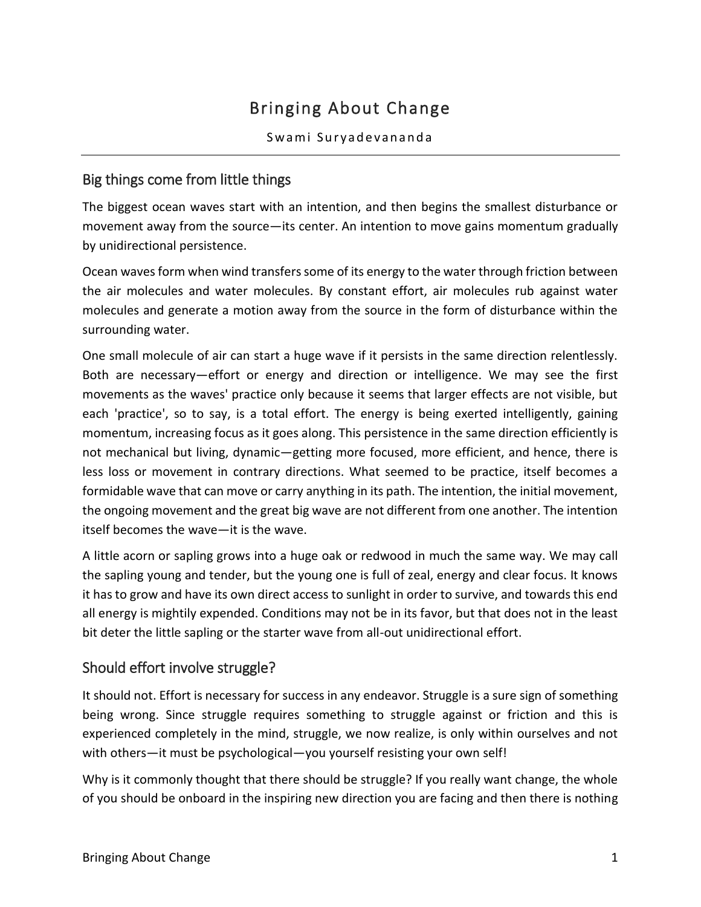# Bringing About Change

Swami Suryadevananda

## Big things come from little things

The biggest ocean waves start with an intention, and then begins the smallest disturbance or movement away from the source—its center. An intention to move gains momentum gradually by unidirectional persistence.

Ocean waves form when wind transfers some of its energy to the water through friction between the air molecules and water molecules. By constant effort, air molecules rub against water molecules and generate a motion away from the source in the form of disturbance within the surrounding water.

One small molecule of air can start a huge wave if it persists in the same direction relentlessly. Both are necessary—effort or energy and direction or intelligence. We may see the first movements as the waves' practice only because it seems that larger effects are not visible, but each 'practice', so to say, is a total effort. The energy is being exerted intelligently, gaining momentum, increasing focus as it goes along. This persistence in the same direction efficiently is not mechanical but living, dynamic—getting more focused, more efficient, and hence, there is less loss or movement in contrary directions. What seemed to be practice, itself becomes a formidable wave that can move or carry anything in its path. The intention, the initial movement, the ongoing movement and the great big wave are not different from one another. The intention itself becomes the wave—it is the wave.

A little acorn or sapling grows into a huge oak or redwood in much the same way. We may call the sapling young and tender, but the young one is full of zeal, energy and clear focus. It knows it has to grow and have its own direct access to sunlight in order to survive, and towards this end all energy is mightily expended. Conditions may not be in its favor, but that does not in the least bit deter the little sapling or the starter wave from all-out unidirectional effort.

## Should effort involve struggle?

It should not. Effort is necessary for success in any endeavor. Struggle is a sure sign of something being wrong. Since struggle requires something to struggle against or friction and this is experienced completely in the mind, struggle, we now realize, is only within ourselves and not with others—it must be psychological—you yourself resisting your own self!

Why is it commonly thought that there should be struggle? If you really want change, the whole of you should be onboard in the inspiring new direction you are facing and then there is nothing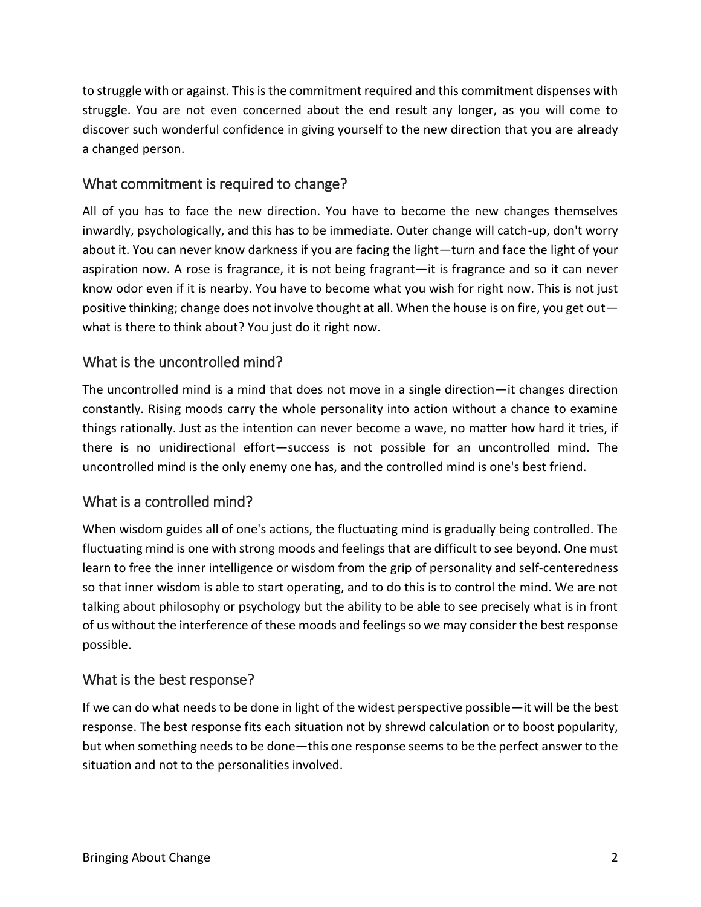to struggle with or against. This is the commitment required and this commitment dispenses with struggle. You are not even concerned about the end result any longer, as you will come to discover such wonderful confidence in giving yourself to the new direction that you are already a changed person.

## What commitment is required to change?

All of you has to face the new direction. You have to become the new changes themselves inwardly, psychologically, and this has to be immediate. Outer change will catch-up, don't worry about it. You can never know darkness if you are facing the light—turn and face the light of your aspiration now. A rose is fragrance, it is not being fragrant—it is fragrance and so it can never know odor even if it is nearby. You have to become what you wish for right now. This is not just positive thinking; change does not involve thought at all. When the house is on fire, you get out what is there to think about? You just do it right now.

# What is the uncontrolled mind?

The uncontrolled mind is a mind that does not move in a single direction—it changes direction constantly. Rising moods carry the whole personality into action without a chance to examine things rationally. Just as the intention can never become a wave, no matter how hard it tries, if there is no unidirectional effort—success is not possible for an uncontrolled mind. The uncontrolled mind is the only enemy one has, and the controlled mind is one's best friend.

## What is a controlled mind?

When wisdom guides all of one's actions, the fluctuating mind is gradually being controlled. The fluctuating mind is one with strong moods and feelings that are difficult to see beyond. One must learn to free the inner intelligence or wisdom from the grip of personality and self-centeredness so that inner wisdom is able to start operating, and to do this is to control the mind. We are not talking about philosophy or psychology but the ability to be able to see precisely what is in front of us without the interference of these moods and feelings so we may consider the best response possible.

## What is the best response?

If we can do what needs to be done in light of the widest perspective possible—it will be the best response. The best response fits each situation not by shrewd calculation or to boost popularity, but when something needs to be done—this one response seems to be the perfect answer to the situation and not to the personalities involved.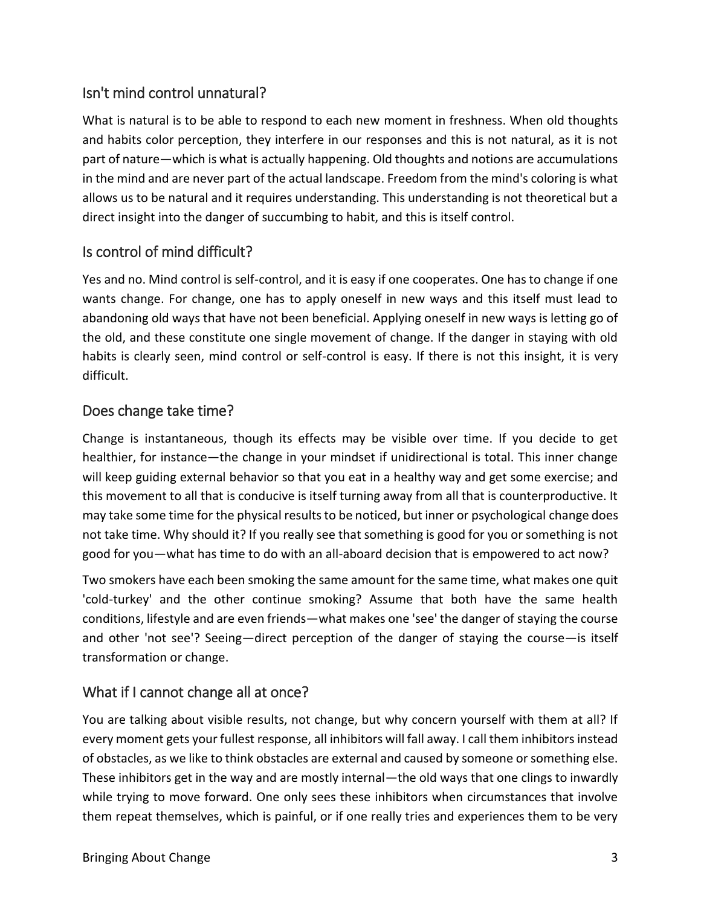# Isn't mind control unnatural?

What is natural is to be able to respond to each new moment in freshness. When old thoughts and habits color perception, they interfere in our responses and this is not natural, as it is not part of nature—which is what is actually happening. Old thoughts and notions are accumulations in the mind and are never part of the actual landscape. Freedom from the mind's coloring is what allows us to be natural and it requires understanding. This understanding is not theoretical but a direct insight into the danger of succumbing to habit, and this is itself control.

# Is control of mind difficult?

Yes and no. Mind control is self-control, and it is easy if one cooperates. One has to change if one wants change. For change, one has to apply oneself in new ways and this itself must lead to abandoning old ways that have not been beneficial. Applying oneself in new ways is letting go of the old, and these constitute one single movement of change. If the danger in staying with old habits is clearly seen, mind control or self-control is easy. If there is not this insight, it is very difficult.

# Does change take time?

Change is instantaneous, though its effects may be visible over time. If you decide to get healthier, for instance—the change in your mindset if unidirectional is total. This inner change will keep guiding external behavior so that you eat in a healthy way and get some exercise; and this movement to all that is conducive is itself turning away from all that is counterproductive. It may take some time for the physical results to be noticed, but inner or psychological change does not take time. Why should it? If you really see that something is good for you or something is not good for you—what has time to do with an all-aboard decision that is empowered to act now?

Two smokers have each been smoking the same amount for the same time, what makes one quit 'cold-turkey' and the other continue smoking? Assume that both have the same health conditions, lifestyle and are even friends—what makes one 'see' the danger of staying the course and other 'not see'? Seeing—direct perception of the danger of staying the course—is itself transformation or change.

# What if I cannot change all at once?

You are talking about visible results, not change, but why concern yourself with them at all? If every moment gets your fullest response, all inhibitors will fall away. I call them inhibitors instead of obstacles, as we like to think obstacles are external and caused by someone or something else. These inhibitors get in the way and are mostly internal—the old ways that one clings to inwardly while trying to move forward. One only sees these inhibitors when circumstances that involve them repeat themselves, which is painful, or if one really tries and experiences them to be very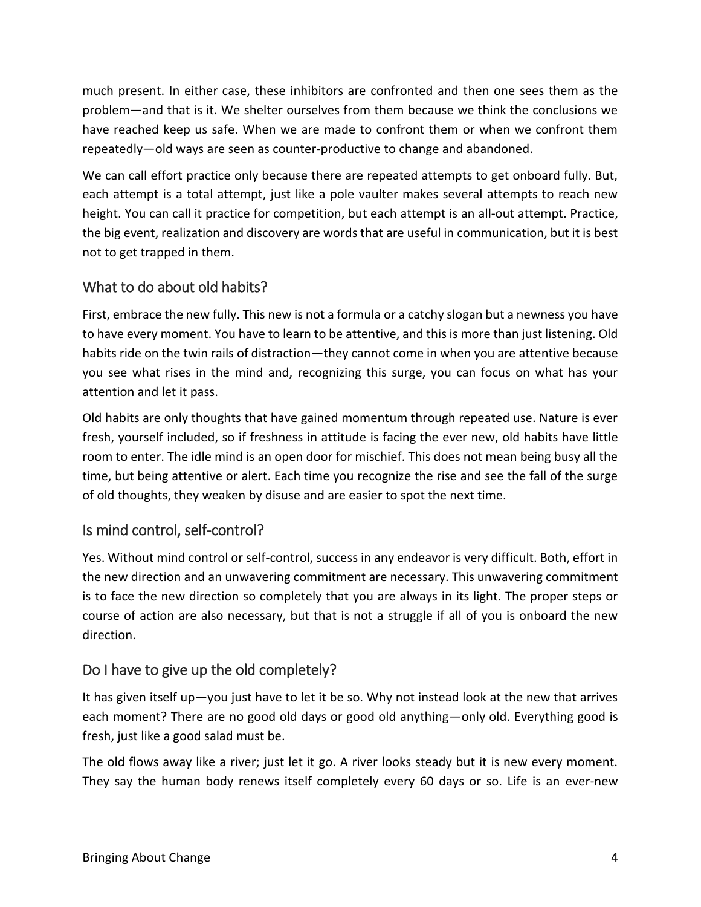much present. In either case, these inhibitors are confronted and then one sees them as the problem—and that is it. We shelter ourselves from them because we think the conclusions we have reached keep us safe. When we are made to confront them or when we confront them repeatedly—old ways are seen as counter-productive to change and abandoned.

We can call effort practice only because there are repeated attempts to get onboard fully. But, each attempt is a total attempt, just like a pole vaulter makes several attempts to reach new height. You can call it practice for competition, but each attempt is an all-out attempt. Practice, the big event, realization and discovery are words that are useful in communication, but it is best not to get trapped in them.

# What to do about old habits?

First, embrace the new fully. This new is not a formula or a catchy slogan but a newness you have to have every moment. You have to learn to be attentive, and this is more than just listening. Old habits ride on the twin rails of distraction—they cannot come in when you are attentive because you see what rises in the mind and, recognizing this surge, you can focus on what has your attention and let it pass.

Old habits are only thoughts that have gained momentum through repeated use. Nature is ever fresh, yourself included, so if freshness in attitude is facing the ever new, old habits have little room to enter. The idle mind is an open door for mischief. This does not mean being busy all the time, but being attentive or alert. Each time you recognize the rise and see the fall of the surge of old thoughts, they weaken by disuse and are easier to spot the next time.

## Is mind control, self-control?

Yes. Without mind control or self-control, success in any endeavor is very difficult. Both, effort in the new direction and an unwavering commitment are necessary. This unwavering commitment is to face the new direction so completely that you are always in its light. The proper steps or course of action are also necessary, but that is not a struggle if all of you is onboard the new direction.

## Do I have to give up the old completely?

It has given itself up—you just have to let it be so. Why not instead look at the new that arrives each moment? There are no good old days or good old anything—only old. Everything good is fresh, just like a good salad must be.

The old flows away like a river; just let it go. A river looks steady but it is new every moment. They say the human body renews itself completely every 60 days or so. Life is an ever-new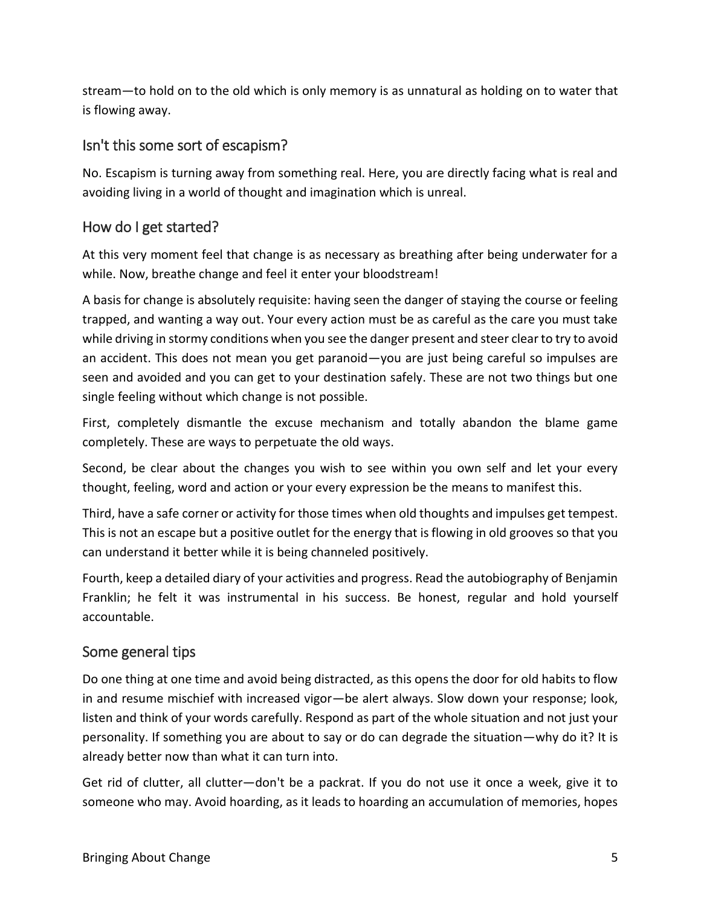stream—to hold on to the old which is only memory is as unnatural as holding on to water that is flowing away.

# Isn't this some sort of escapism?

No. Escapism is turning away from something real. Here, you are directly facing what is real and avoiding living in a world of thought and imagination which is unreal.

# How do I get started?

At this very moment feel that change is as necessary as breathing after being underwater for a while. Now, breathe change and feel it enter your bloodstream!

A basis for change is absolutely requisite: having seen the danger of staying the course or feeling trapped, and wanting a way out. Your every action must be as careful as the care you must take while driving in stormy conditions when you see the danger present and steer clear to try to avoid an accident. This does not mean you get paranoid—you are just being careful so impulses are seen and avoided and you can get to your destination safely. These are not two things but one single feeling without which change is not possible.

First, completely dismantle the excuse mechanism and totally abandon the blame game completely. These are ways to perpetuate the old ways.

Second, be clear about the changes you wish to see within you own self and let your every thought, feeling, word and action or your every expression be the means to manifest this.

Third, have a safe corner or activity for those times when old thoughts and impulses get tempest. This is not an escape but a positive outlet for the energy that is flowing in old grooves so that you can understand it better while it is being channeled positively.

Fourth, keep a detailed diary of your activities and progress. Read the autobiography of Benjamin Franklin; he felt it was instrumental in his success. Be honest, regular and hold yourself accountable.

## Some general tips

Do one thing at one time and avoid being distracted, as this opens the door for old habits to flow in and resume mischief with increased vigor—be alert always. Slow down your response; look, listen and think of your words carefully. Respond as part of the whole situation and not just your personality. If something you are about to say or do can degrade the situation—why do it? It is already better now than what it can turn into.

Get rid of clutter, all clutter—don't be a packrat. If you do not use it once a week, give it to someone who may. Avoid hoarding, as it leads to hoarding an accumulation of memories, hopes